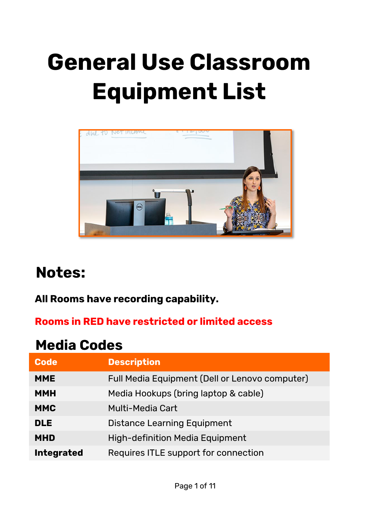# **General Use Classroom Equipment List**



# **Notes:**

#### **All Rooms have recording capability.**

#### **Rooms in RED have restricted or limited access**

#### **Media Codes**

| <b>Code</b>       | <b>Description</b>                             |
|-------------------|------------------------------------------------|
| <b>MME</b>        | Full Media Equipment (Dell or Lenovo computer) |
| <b>MMH</b>        | Media Hookups (bring laptop & cable)           |
| <b>MMC</b>        | <b>Multi-Media Cart</b>                        |
| <b>DLE</b>        | <b>Distance Learning Equipment</b>             |
| <b>MHD</b>        | <b>High-definition Media Equipment</b>         |
| <b>Integrated</b> | Requires ITLE support for connection           |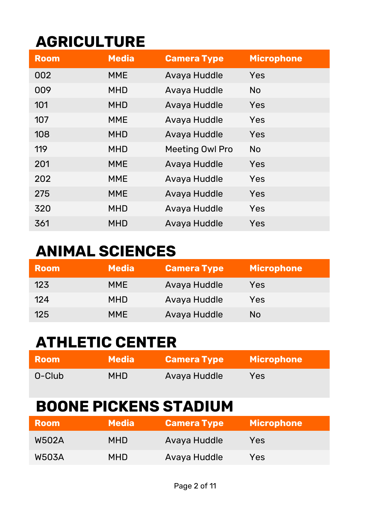# **AGRICULTURE**

| <b>Room</b> | <b>Media</b> | <b>Camera Type</b>     | <b>Microphone</b> |
|-------------|--------------|------------------------|-------------------|
| 002         | <b>MME</b>   | Avaya Huddle           | Yes               |
| 009         | <b>MHD</b>   | Avaya Huddle           | <b>No</b>         |
| 101         | <b>MHD</b>   | Avaya Huddle           | Yes               |
| 107         | <b>MME</b>   | Avaya Huddle           | Yes               |
| 108         | <b>MHD</b>   | Avaya Huddle           | Yes               |
| 119         | <b>MHD</b>   | <b>Meeting Owl Pro</b> | <b>No</b>         |
| 201         | <b>MME</b>   | Avaya Huddle           | Yes               |
| 202         | <b>MME</b>   | Avaya Huddle           | Yes               |
| 275         | <b>MME</b>   | Avaya Huddle           | Yes               |
| 320         | <b>MHD</b>   | Avaya Huddle           | Yes               |
| 361         | <b>MHD</b>   | Avaya Huddle           | Yes               |

# **ANIMAL SCIENCES**

| <b>Room</b> | <b>Media</b> | <b>Camera Type</b> | <b>Microphone</b> |
|-------------|--------------|--------------------|-------------------|
| 123         | <b>MME</b>   | Avaya Huddle       | Yes               |
| 124         | <b>MHD</b>   | Avaya Huddle       | Yes               |
| 125         | <b>MME</b>   | Avaya Huddle       | No                |

#### **ATHLETIC CENTER**

| <b>Room</b> | <b>Media</b> | <b>Camera Type</b> | <b>Microphone</b> |
|-------------|--------------|--------------------|-------------------|
| O-Club      | MHD.         | Avaya Huddle       | Yes               |

# **BOONE PICKENS STADIUM**

| <b>Room</b>  | <b>Media</b> | <b>Camera Type</b> | <b>Microphone</b> |
|--------------|--------------|--------------------|-------------------|
| <b>W502A</b> | <b>MHD</b>   | Avaya Huddle       | Yes               |
| <b>W503A</b> | <b>MHD</b>   | Avaya Huddle       | Yes               |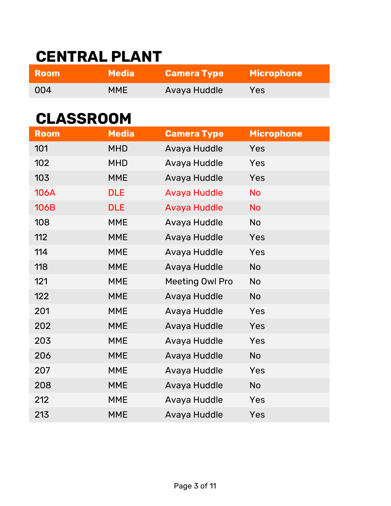# **CENTRAL PLANT**

| <b>Room</b> | Media <b>I</b> | <b>Camera Type</b> | <b>Microphone</b> |
|-------------|----------------|--------------------|-------------------|
| 004         | MME            | Avaya Huddle       | Yes               |

#### **CLASSROOM**

| <b>Room</b> | <b>Media</b> | <b>Camera Type</b>     | <b>Microphone</b> |
|-------------|--------------|------------------------|-------------------|
| 101         | <b>MHD</b>   | Avaya Huddle           | Yes               |
| 102         | <b>MHD</b>   | Avaya Huddle           | Yes               |
| 103         | <b>MME</b>   | Avaya Huddle           | Yes               |
| <b>106A</b> | <b>DLE</b>   | <b>Avaya Huddle</b>    | <b>No</b>         |
| <b>106B</b> | <b>DLE</b>   | <b>Avaya Huddle</b>    | <b>No</b>         |
| 108         | <b>MME</b>   | Avaya Huddle           | <b>No</b>         |
| 112         | <b>MME</b>   | Avaya Huddle           | Yes               |
| 114         | <b>MME</b>   | Avaya Huddle           | Yes               |
| 118         | <b>MME</b>   | Avaya Huddle           | <b>No</b>         |
| 121         | <b>MME</b>   | <b>Meeting Owl Pro</b> | <b>No</b>         |
| 122         | <b>MME</b>   | Avaya Huddle           | <b>No</b>         |
| 201         | <b>MME</b>   | Avaya Huddle           | Yes               |
| 202         | <b>MME</b>   | Avaya Huddle           | Yes               |
| 203         | <b>MME</b>   | Avaya Huddle           | Yes               |
| 206         | <b>MME</b>   | Avaya Huddle           | <b>No</b>         |
| 207         | <b>MME</b>   | Avaya Huddle           | Yes               |
| 208         | <b>MME</b>   | Avaya Huddle           | <b>No</b>         |
| 212         | <b>MME</b>   | Avaya Huddle           | Yes               |
| 213         | <b>MME</b>   | Avaya Huddle           | Yes               |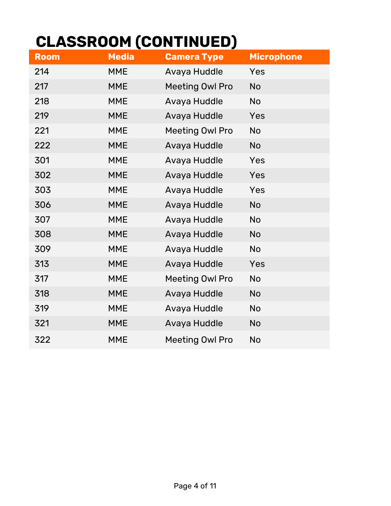# **CLASSROOM (CONTINUED)**

| <b>Room</b> | <b>Media</b> | <b>Camera Type</b>     | <b>Microphone</b> |
|-------------|--------------|------------------------|-------------------|
| 214         | <b>MME</b>   | Avaya Huddle           | Yes               |
| 217         | <b>MME</b>   | <b>Meeting Owl Pro</b> | <b>No</b>         |
| 218         | <b>MME</b>   | Avaya Huddle           | <b>No</b>         |
| 219         | <b>MME</b>   | Avaya Huddle           | Yes               |
| 221         | <b>MME</b>   | <b>Meeting Owl Pro</b> | <b>No</b>         |
| 222         | <b>MME</b>   | Avaya Huddle           | <b>No</b>         |
| 301         | <b>MME</b>   | Avaya Huddle           | Yes               |
| 302         | <b>MME</b>   | Avaya Huddle           | Yes               |
| 303         | <b>MME</b>   | Avaya Huddle           | Yes               |
| 306         | <b>MME</b>   | Avaya Huddle           | <b>No</b>         |
| 307         | <b>MME</b>   | Avaya Huddle           | <b>No</b>         |
| 308         | <b>MME</b>   | Avaya Huddle           | <b>No</b>         |
| 309         | <b>MME</b>   | Avaya Huddle           | <b>No</b>         |
| 313         | <b>MME</b>   | Avaya Huddle           | Yes               |
| 317         | <b>MME</b>   | <b>Meeting Owl Pro</b> | No                |
| 318         | <b>MME</b>   | Avaya Huddle           | <b>No</b>         |
| 319         | <b>MME</b>   | Avaya Huddle           | No                |
| 321         | <b>MME</b>   | Avaya Huddle           | <b>No</b>         |
| 322         | <b>MME</b>   | <b>Meeting Owl Pro</b> | <b>No</b>         |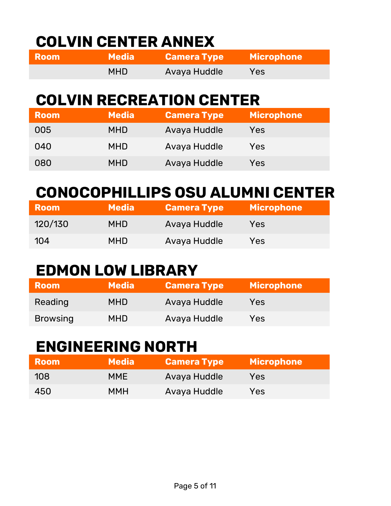# **COLVIN CENTER ANNEX**

| <b>Room</b> | Media <b>\</b> | <b>Camera Type</b> | <b>Microphone</b> |
|-------------|----------------|--------------------|-------------------|
|             | <b>MHD</b>     | Avaya Huddle       | Yes               |

# **COLVIN RECREATION CENTER**

| <b>Room</b> | <b>Media</b> | <b>Camera Type</b> | <b>Microphone</b> |
|-------------|--------------|--------------------|-------------------|
| 005         | <b>MHD</b>   | Avaya Huddle       | Yes               |
| 040         | <b>MHD</b>   | Avaya Huddle       | Yes               |
| 080         | <b>MHD</b>   | Avaya Huddle       | Yes               |

# **CONOCOPHILLIPS OSU ALUMNI CENTER**

| <b>Room</b> | <b>Media</b> | <b>Camera Type</b> | <b>Microphone</b> |
|-------------|--------------|--------------------|-------------------|
| 120/130     | <b>MHD</b>   | Avaya Huddle       | Yes               |
| 104         | <b>MHD</b>   | Avaya Huddle       | Yes               |

#### **EDMON LOW LIBRARY**

| <b>Room</b>     | <b>Media</b> | <b>Camera Type</b> | <b>Microphone</b> |
|-----------------|--------------|--------------------|-------------------|
| Reading         | <b>MHD</b>   | Avaya Huddle       | Yes               |
| <b>Browsing</b> | MHD          | Avaya Huddle       | Yes               |

#### **ENGINEERING NORTH**

| <b>Room</b> | <b>Media</b> | <b>Camera Type</b> | <b>Microphone</b> |
|-------------|--------------|--------------------|-------------------|
| 108         | <b>MME</b>   | Avaya Huddle       | Yes               |
| 450         | <b>MMH</b>   | Avaya Huddle       | Yes               |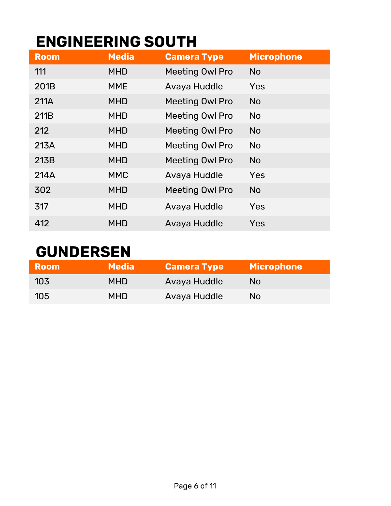# **ENGINEERING SOUTH**

| <b>Room</b> | <b>Media</b> | <b>Camera Type</b>     | <b>Microphone</b> |
|-------------|--------------|------------------------|-------------------|
| 111         | <b>MHD</b>   | <b>Meeting Owl Pro</b> | <b>No</b>         |
| 201B        | <b>MME</b>   | Avaya Huddle           | Yes               |
| 211A        | <b>MHD</b>   | <b>Meeting Owl Pro</b> | <b>No</b>         |
| 211B        | <b>MHD</b>   | <b>Meeting Owl Pro</b> | <b>No</b>         |
| 212         | <b>MHD</b>   | <b>Meeting Owl Pro</b> | <b>No</b>         |
| 213A        | <b>MHD</b>   | <b>Meeting Owl Pro</b> | <b>No</b>         |
| 213B        | <b>MHD</b>   | <b>Meeting Owl Pro</b> | <b>No</b>         |
| 214A        | <b>MMC</b>   | Avaya Huddle           | Yes               |
| 302         | <b>MHD</b>   | <b>Meeting Owl Pro</b> | <b>No</b>         |
| 317         | <b>MHD</b>   | Avaya Huddle           | Yes               |
| 412         | <b>MHD</b>   | Avaya Huddle           | Yes               |

#### **GUNDERSEN**

| <b>Room</b> | <b>Media</b> | <b>Camera Type</b> | <b>Microphone</b> |
|-------------|--------------|--------------------|-------------------|
| 103         | <b>MHD</b>   | Avaya Huddle       | No.               |
| 105         | <b>MHD</b>   | Avaya Huddle       | No                |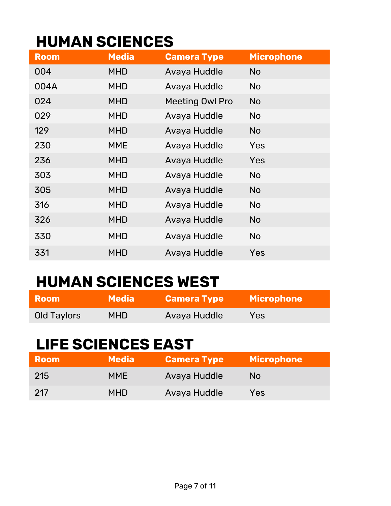#### **HUMAN SCIENCES**

| <b>Room</b> | <b>Media</b> | <b>Camera Type</b>     | <b>Microphone</b> |
|-------------|--------------|------------------------|-------------------|
| 004         | <b>MHD</b>   | Avaya Huddle           | <b>No</b>         |
| 004A        | <b>MHD</b>   | Avaya Huddle           | <b>No</b>         |
| 024         | <b>MHD</b>   | <b>Meeting Owl Pro</b> | <b>No</b>         |
| 029         | <b>MHD</b>   | Avaya Huddle           | <b>No</b>         |
| 129         | <b>MHD</b>   | Avaya Huddle           | <b>No</b>         |
| 230         | <b>MME</b>   | Avaya Huddle           | Yes               |
| 236         | <b>MHD</b>   | Avaya Huddle           | Yes               |
| 303         | <b>MHD</b>   | Avaya Huddle           | <b>No</b>         |
| 305         | <b>MHD</b>   | Avaya Huddle           | <b>No</b>         |
| 316         | <b>MHD</b>   | Avaya Huddle           | <b>No</b>         |
| 326         | <b>MHD</b>   | Avaya Huddle           | <b>No</b>         |
| 330         | <b>MHD</b>   | Avaya Huddle           | <b>No</b>         |
| 331         | <b>MHD</b>   | Avaya Huddle           | Yes               |

# **HUMAN SCIENCES WEST**

| <b>Room</b> | <b>Media</b> | <b>Camera Type</b> | <b>Microphone</b> |
|-------------|--------------|--------------------|-------------------|
| Old Taylors | <b>MHD</b>   | Avaya Huddle       | Yes.              |

#### **LIFE SCIENCES EAST**

| <b>Room</b> | <b>Media</b> | <b>Camera Type</b> | <b>Microphone</b> |
|-------------|--------------|--------------------|-------------------|
| 215         | <b>MME</b>   | Avaya Huddle       | No.               |
| 217         | <b>MHD</b>   | Avaya Huddle       | Yes               |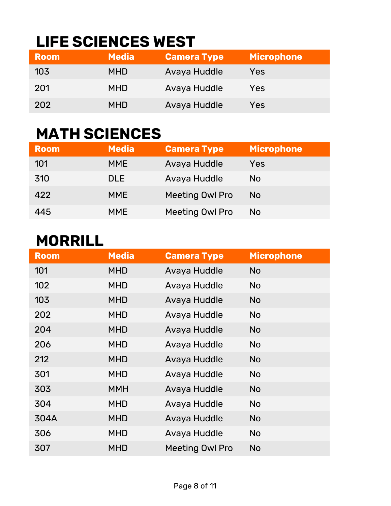# **LIFE SCIENCES WEST**

| <b>Room</b> | <b>Media</b> | <b>Camera Type</b> | <b>Microphone</b> |
|-------------|--------------|--------------------|-------------------|
| 103         | <b>MHD</b>   | Avaya Huddle       | Yes               |
| 201         | <b>MHD</b>   | Avaya Huddle       | Yes               |
| 202         | <b>MHD</b>   | Avaya Huddle       | Yes               |

#### **MATH SCIENCES**

| <b>Room</b> | <b>Media</b> | <b>Camera Type</b>     | <b>Microphone</b> |
|-------------|--------------|------------------------|-------------------|
| 101         | <b>MME</b>   | Avaya Huddle           | Yes               |
| 310         | <b>DLE</b>   | Avaya Huddle           | No                |
| 422         | <b>MME</b>   | <b>Meeting Owl Pro</b> | No                |
| 445         | <b>MME</b>   | <b>Meeting Owl Pro</b> | No                |

#### **MORRILL**

| <b>Room</b> | <b>Media</b> | <b>Camera Type</b>     | <b>Microphone</b> |
|-------------|--------------|------------------------|-------------------|
| 101         | <b>MHD</b>   | Avaya Huddle           | <b>No</b>         |
| 102         | <b>MHD</b>   | Avaya Huddle           | <b>No</b>         |
| 103         | <b>MHD</b>   | Avaya Huddle           | <b>No</b>         |
| 202         | <b>MHD</b>   | Avaya Huddle           | <b>No</b>         |
| 204         | <b>MHD</b>   | Avaya Huddle           | <b>No</b>         |
| 206         | <b>MHD</b>   | Avaya Huddle           | <b>No</b>         |
| 212         | <b>MHD</b>   | Avaya Huddle           | <b>No</b>         |
| 301         | <b>MHD</b>   | Avaya Huddle           | <b>No</b>         |
| 303         | <b>MMH</b>   | Avaya Huddle           | <b>No</b>         |
| 304         | <b>MHD</b>   | Avaya Huddle           | <b>No</b>         |
| 304A        | <b>MHD</b>   | Avaya Huddle           | <b>No</b>         |
| 306         | <b>MHD</b>   | Avaya Huddle           | <b>No</b>         |
| 307         | <b>MHD</b>   | <b>Meeting Owl Pro</b> | <b>No</b>         |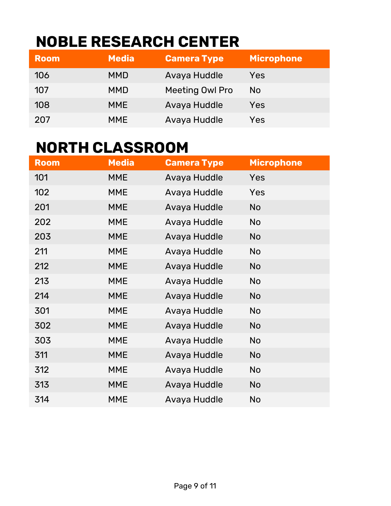# **NOBLE RESEARCH CENTER**

| <b>Room</b> | <b>Media</b> | <b>Camera Type</b>     | <b>Microphone</b> |
|-------------|--------------|------------------------|-------------------|
| 106         | <b>MMD</b>   | Avaya Huddle           | Yes               |
| 107         | <b>MMD</b>   | <b>Meeting Owl Pro</b> | No.               |
| 108         | <b>MME</b>   | Avaya Huddle           | Yes               |
| 207         | <b>MME</b>   | Avaya Huddle           | Yes               |

#### **NORTH CLASSROOM**

| <b>Room</b> | Media      | <b>Camera Type</b> | <b>Microphone</b> |
|-------------|------------|--------------------|-------------------|
| 101         | <b>MME</b> | Avaya Huddle       | <b>Yes</b>        |
| 102         | <b>MME</b> | Avaya Huddle       | Yes               |
| 201         | <b>MME</b> | Avaya Huddle       | <b>No</b>         |
| 202         | <b>MME</b> | Avaya Huddle       | <b>No</b>         |
| 203         | <b>MME</b> | Avaya Huddle       | <b>No</b>         |
| 211         | <b>MME</b> | Avaya Huddle       | <b>No</b>         |
| 212         | <b>MME</b> | Avaya Huddle       | <b>No</b>         |
| 213         | <b>MME</b> | Avaya Huddle       | <b>No</b>         |
| 214         | <b>MME</b> | Avaya Huddle       | <b>No</b>         |
| 301         | <b>MME</b> | Avaya Huddle       | <b>No</b>         |
| 302         | <b>MME</b> | Avaya Huddle       | <b>No</b>         |
| 303         | <b>MME</b> | Avaya Huddle       | <b>No</b>         |
| 311         | <b>MME</b> | Avaya Huddle       | <b>No</b>         |
| 312         | <b>MME</b> | Avaya Huddle       | <b>No</b>         |
| 313         | <b>MME</b> | Avaya Huddle       | <b>No</b>         |
| 314         | <b>MME</b> | Avaya Huddle       | <b>No</b>         |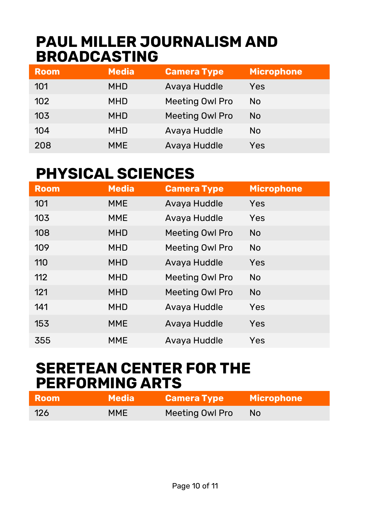#### **PAUL MILLER JOURNALISM AND BROADCASTING**

| <b>Room</b> | <b>Media</b> | <b>Camera Type</b>     | <b>Microphone</b> |
|-------------|--------------|------------------------|-------------------|
| 101         | <b>MHD</b>   | Avaya Huddle           | Yes               |
| 102         | <b>MHD</b>   | <b>Meeting Owl Pro</b> | <b>No</b>         |
| 103         | <b>MHD</b>   | <b>Meeting Owl Pro</b> | <b>No</b>         |
| 104         | <b>MHD</b>   | Avaya Huddle           | <b>No</b>         |
| 208         | <b>MME</b>   | Avaya Huddle           | Yes               |

#### **PHYSICAL SCIENCES**

| <b>Room</b> | <b>Media</b> | <b>Camera Type</b>     | <b>Microphone</b> |
|-------------|--------------|------------------------|-------------------|
| 101         | <b>MME</b>   | Avaya Huddle           | Yes               |
| 103         | <b>MME</b>   | Avaya Huddle           | Yes               |
| 108         | <b>MHD</b>   | <b>Meeting Owl Pro</b> | <b>No</b>         |
| 109         | <b>MHD</b>   | <b>Meeting Owl Pro</b> | <b>No</b>         |
| 110         | <b>MHD</b>   | Avaya Huddle           | Yes               |
| 112         | <b>MHD</b>   | <b>Meeting Owl Pro</b> | <b>No</b>         |
| 121         | <b>MHD</b>   | <b>Meeting Owl Pro</b> | <b>No</b>         |
| 141         | <b>MHD</b>   | Avaya Huddle           | Yes               |
| 153         | <b>MME</b>   | Avaya Huddle           | Yes               |
| 355         | <b>MME</b>   | Avaya Huddle           | Yes               |

#### **SERETEAN CENTER FOR THE PERFORMING ARTS**

| <b>Room</b> | Media \    | <b>Camera Type</b> | <b>Microphone</b> |
|-------------|------------|--------------------|-------------------|
| 126         | <b>MME</b> | Meeting Owl Pro    | No.               |